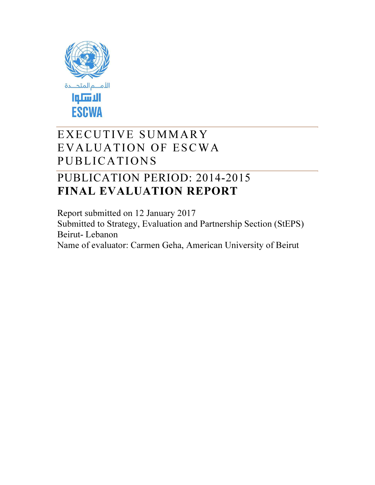

# EXECUTIVE SUMMARY EVALUATION OF ESCWA PUBLICATIONS

# PUBLICATION PERIOD: 2014-2015 FINAL EVALUATION REPORT

Report submitted on 12 January 2017 Submitted to Strategy, Evaluation and Partnership Section (StEPS) Beirut- Lebanon Name of evaluator: Carmen Geha, American University of Beirut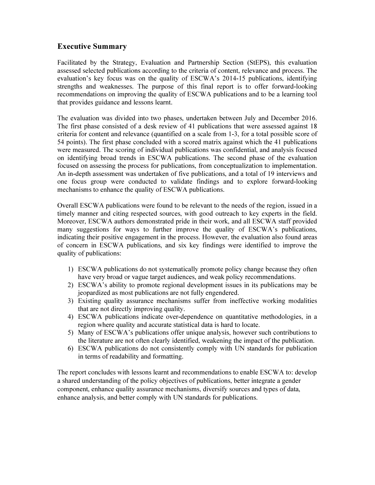# Executive Summary

Facilitated by the Strategy, Evaluation and Partnership Section (StEPS), this evaluation assessed selected publications according to the criteria of content, relevance and process. The evaluation's key focus was on the quality of ESCWA's 2014-15 publications, identifying strengths and weaknesses. The purpose of this final report is to offer forward-looking recommendations on improving the quality of ESCWA publications and to be a learning tool that provides guidance and lessons learnt.

The evaluation was divided into two phases, undertaken between July and December 2016. The first phase consisted of a desk review of 41 publications that were assessed against 18 criteria for content and relevance (quantified on a scale from 1-3, for a total possible score of 54 points). The first phase concluded with a scored matrix against which the 41 publications were measured. The scoring of individual publications was confidential, and analysis focused on identifying broad trends in ESCWA publications. The second phase of the evaluation focused on assessing the process for publications, from conceptualization to implementation. An in-depth assessment was undertaken of five publications, and a total of 19 interviews and one focus group were conducted to validate findings and to explore forward-looking mechanisms to enhance the quality of ESCWA publications.

Overall ESCWA publications were found to be relevant to the needs of the region, issued in a timely manner and citing respected sources, with good outreach to key experts in the field. Moreover, ESCWA authors demonstrated pride in their work, and all ESCWA staff provided many suggestions for ways to further improve the quality of ESCWA's publications, indicating their positive engagement in the process. However, the evaluation also found areas of concern in ESCWA publications, and six key findings were identified to improve the quality of publications:

- 1) ESCWA publications do not systematically promote policy change because they often have very broad or vague target audiences, and weak policy recommendations.
- 2) ESCWA's ability to promote regional development issues in its publications may be jeopardized as most publications are not fully engendered.
- 3) Existing quality assurance mechanisms suffer from ineffective working modalities that are not directly improving quality.
- 4) ESCWA publications indicate over-dependence on quantitative methodologies, in a region where quality and accurate statistical data is hard to locate.
- 5) Many of ESCWA's publications offer unique analysis, however such contributions to the literature are not often clearly identified, weakening the impact of the publication.
- 6) ESCWA publications do not consistently comply with UN standards for publication in terms of readability and formatting.

The report concludes with lessons learnt and recommendations to enable ESCWA to: develop a shared understanding of the policy objectives of publications, better integrate a gender component, enhance quality assurance mechanisms, diversify sources and types of data, enhance analysis, and better comply with UN standards for publications.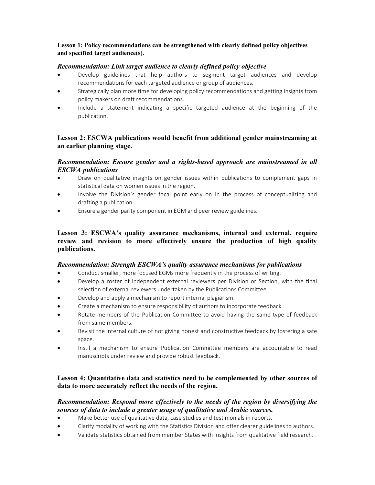## Lesson 1: Policy recommendations can be strengthened with clearly defined policy objectives and specified target audience(s).

### *Recommendation: Link target audience to clearly defined policy objective*

- Develop guidelines that help authors to segment target audiences and develop recommendations for each targeted audience or group of audiences.
- Strategically plan more time for developing policy recommendations and getting insights from policy makers on draft recommendations.
- Include a statement indicating a specific targeted audience at the beginning of the publication.

# Lesson 2: ESCWA publications would benefit from additional gender mainstreaming at an earlier planning stage.

# *Recommendation: Ensure gender and a rights-based approach are mainstreamed in all ESCWA publications*

- Draw on qualitative insights on gender issues within publications to complement gaps in statistical data on women issues in the region.
- Involve the Division's gender focal point early on in the process of conceptualizing and drafting a publication.
- Ensure a gender parity component in EGM and peer review guidelines.

# Lesson 3: ESCWA's quality assurance mechanisms, internal and external, require review and revision to more effectively ensure the production of high quality publications.

#### *Recommendation: Strength ESCWA's quality assurance mechanisms for publications*

- Conduct smaller, more focused EGMs more frequently in the process of writing.
- Develop a roster of independent external reviewers per Division or Section, with the final selection of external reviewers undertaken by the Publications Committee.
- Develop and apply a mechanism to report internal plagiarism.
- Create a mechanism to ensure responsibility of authors to incorporate feedback.
- Rotate members of the Publication Committee to avoid having the same type of feedback from same members.
- Revisit the internal culture of not giving honest and constructive feedback by fostering a safe space.
- Instil a mechanism to ensure Publication Committee members are accountable to read manuscripts under review and provide robust feedback.

# Lesson 4: Quantitative data and statistics need to be complemented by other sources of data to more accurately reflect the needs of the region.

## *Recommendation: Respond more effectively to the needs of the region by diversifying the sources of data to include a greater usage of qualitative and Arabic sources.*

- Make better use of qualitative data, case studies and testimonials in reports.
- Clarify modality of working with the Statistics Division and offer clearer guidelines to authors.
- Validate statistics obtained from member States with insights from qualitative field research.